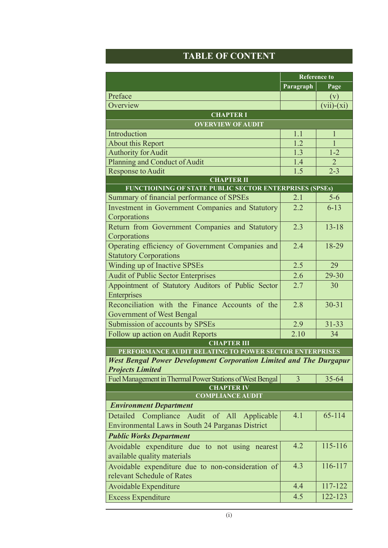## **Table of Content**

|                                                                                   | <b>Reference to</b> |                |  |  |  |
|-----------------------------------------------------------------------------------|---------------------|----------------|--|--|--|
|                                                                                   | Paragraph           | Page           |  |  |  |
| Preface                                                                           |                     | (v)            |  |  |  |
| Overview                                                                          |                     | $(vii)-(xi)$   |  |  |  |
| <b>CHAPTER I</b>                                                                  |                     |                |  |  |  |
| <b>OVERVIEW OF AUDIT</b>                                                          |                     |                |  |  |  |
| Introduction                                                                      | 1.1                 | $\mathbf{1}$   |  |  |  |
| About this Report                                                                 | 1.2                 | $\overline{1}$ |  |  |  |
| <b>Authority for Audit</b>                                                        | 1.3                 | $1 - 2$        |  |  |  |
| Planning and Conduct of Audit                                                     | 1.4                 | $\overline{2}$ |  |  |  |
| Response to Audit                                                                 | 1.5                 | $2 - 3$        |  |  |  |
| <b>CHAPTER II</b><br>FUNCTIOINING OF STATE PUBLIC SECTOR ENTERPRISES (SPSEs)      |                     |                |  |  |  |
| Summary of financial performance of SPSEs                                         | 2.1                 | $5-6$          |  |  |  |
| Investment in Government Companies and Statutory                                  | 2.2                 | $6 - 13$       |  |  |  |
| Corporations                                                                      |                     |                |  |  |  |
| Return from Government Companies and Statutory<br>Corporations                    | 2.3                 | $13 - 18$      |  |  |  |
| Operating efficiency of Government Companies and<br><b>Statutory Corporations</b> | 2.4                 | 18-29          |  |  |  |
| Winding up of Inactive SPSEs                                                      | 2.5                 | 29             |  |  |  |
| <b>Audit of Public Sector Enterprises</b>                                         | 2.6                 | 29-30          |  |  |  |
| Appointment of Statutory Auditors of Public Sector                                | 2.7                 | 30             |  |  |  |
| Enterprises                                                                       |                     |                |  |  |  |
| Reconciliation with the Finance Accounts of the                                   | 2.8                 | $30 - 31$      |  |  |  |
| Government of West Bengal                                                         |                     |                |  |  |  |
| Submission of accounts by SPSEs                                                   | 2.9                 | $31 - 33$      |  |  |  |
| Follow up action on Audit Reports                                                 | 2.10                | 34             |  |  |  |
| <b>CHAPTER III</b>                                                                |                     |                |  |  |  |
| PERFORMANCE AUDIT RELATING TO POWER SECTOR ENTERPRISES                            |                     |                |  |  |  |
| <b>West Bengal Power Development Corporation Limited and The Durgapur</b>         |                     |                |  |  |  |
| <b>Projects Limited</b>                                                           |                     |                |  |  |  |
| Fuel Management in Thermal Power Stations of West Bengal                          | 3                   | $35 - 64$      |  |  |  |
| <b>CHAPTER IV</b><br><b>COMPLIANCE AUDIT</b>                                      |                     |                |  |  |  |
| <b>Environment Department</b>                                                     |                     |                |  |  |  |
| Compliance Audit of All<br>Detailed                                               | 4.1                 | 65-114         |  |  |  |
| Applicable<br><b>Environmental Laws in South 24 Parganas District</b>             |                     |                |  |  |  |
|                                                                                   |                     |                |  |  |  |
| <b>Public Works Department</b>                                                    | 4.2                 | 115-116        |  |  |  |
| Avoidable expenditure due to not using nearest<br>available quality materials     |                     |                |  |  |  |
| Avoidable expenditure due to non-consideration of                                 | 4.3                 | 116-117        |  |  |  |
| relevant Schedule of Rates                                                        |                     |                |  |  |  |
| Avoidable Expenditure                                                             | 4.4                 | 117-122        |  |  |  |
| <b>Excess Expenditure</b>                                                         | 4.5                 | 122-123        |  |  |  |
|                                                                                   |                     |                |  |  |  |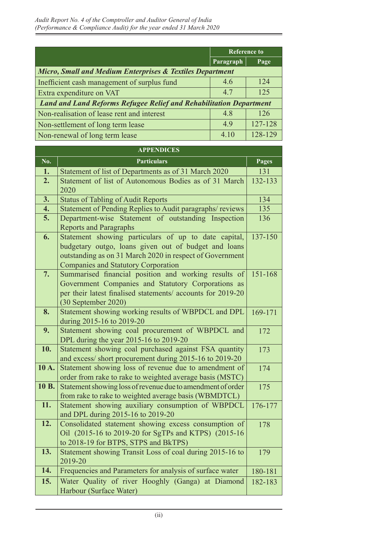|                                                                           | <b>Reference to</b> |         |  |  |
|---------------------------------------------------------------------------|---------------------|---------|--|--|
|                                                                           | Paragraph           | Page    |  |  |
| <b>Micro, Small and Medium Enterprises &amp; Textiles Department</b>      |                     |         |  |  |
| Inefficient cash management of surplus fund                               | 4.6                 | 124     |  |  |
| Extra expenditure on VAT                                                  | 47                  | 125     |  |  |
| <b>Land and Land Reforms Refugee Relief and Rehabilitation Department</b> |                     |         |  |  |
| Non-realisation of lease rent and interest                                | 4.8                 | 126     |  |  |
| Non-settlement of long term lease                                         | 49                  | 127-128 |  |  |
| Non-renewal of long term lease                                            | 4 10                | 128-129 |  |  |

| <b>APPENDICES</b> |                                                                                                                                                                                                                        |              |  |  |
|-------------------|------------------------------------------------------------------------------------------------------------------------------------------------------------------------------------------------------------------------|--------------|--|--|
| No.               | <b>Particulars</b>                                                                                                                                                                                                     | <b>Pages</b> |  |  |
| 1.                | Statement of list of Departments as of 31 March 2020                                                                                                                                                                   | 131          |  |  |
| 2.                | Statement of list of Autonomous Bodies as of 31 March<br>2020                                                                                                                                                          | 132-133      |  |  |
| 3.                | <b>Status of Tabling of Audit Reports</b>                                                                                                                                                                              | 134          |  |  |
| 4.                | Statement of Pending Replies to Audit paragraphs/reviews                                                                                                                                                               | 135          |  |  |
| 5.                | Department-wise Statement of outstanding Inspection<br><b>Reports and Paragraphs</b>                                                                                                                                   | 136          |  |  |
| 6.                | Statement showing particulars of up to date capital,<br>budgetary outgo, loans given out of budget and loans<br>outstanding as on 31 March 2020 in respect of Government<br><b>Companies and Statutory Corporation</b> | 137-150      |  |  |
| 7.                | Summarised financial position and working results of<br>Government Companies and Statutory Corporations as<br>per their latest finalised statements/ accounts for 2019-20<br>(30 September 2020)                       | 151-168      |  |  |
| 8.                | Statement showing working results of WBPDCL and DPL<br>during 2015-16 to 2019-20                                                                                                                                       | 169-171      |  |  |
| 9.                | Statement showing coal procurement of WBPDCL and<br>DPL during the year 2015-16 to 2019-20                                                                                                                             | 172          |  |  |
| 10.               | Statement showing coal purchased against FSA quantity<br>and excess/short procurement during 2015-16 to 2019-20                                                                                                        | 173          |  |  |
| 10A.              | Statement showing loss of revenue due to amendment of<br>order from rake to rake to weighted average basis (MSTC)                                                                                                      | 174          |  |  |
| 10 B.             | Statement showing loss of revenue due to amendment of order<br>from rake to rake to weighted average basis (WBMDTCL)                                                                                                   | 175          |  |  |
| 11.               | Statement showing auxiliary consumption of WBPDCL<br>and DPL during 2015-16 to 2019-20                                                                                                                                 | 176-177      |  |  |
| 12.               | Consolidated statement showing excess consumption of<br>Oil (2015-16 to 2019-20 for SgTPs and KTPS) (2015-16<br>to 2018-19 for BTPS, STPS and BkTPS)                                                                   | 178          |  |  |
| 13.               | Statement showing Transit Loss of coal during 2015-16 to<br>2019-20                                                                                                                                                    | 179          |  |  |
| 14.               | Frequencies and Parameters for analysis of surface water                                                                                                                                                               | 180-181      |  |  |
| 15.               | Water Quality of river Hooghly (Ganga) at Diamond<br>Harbour (Surface Water)                                                                                                                                           | 182-183      |  |  |